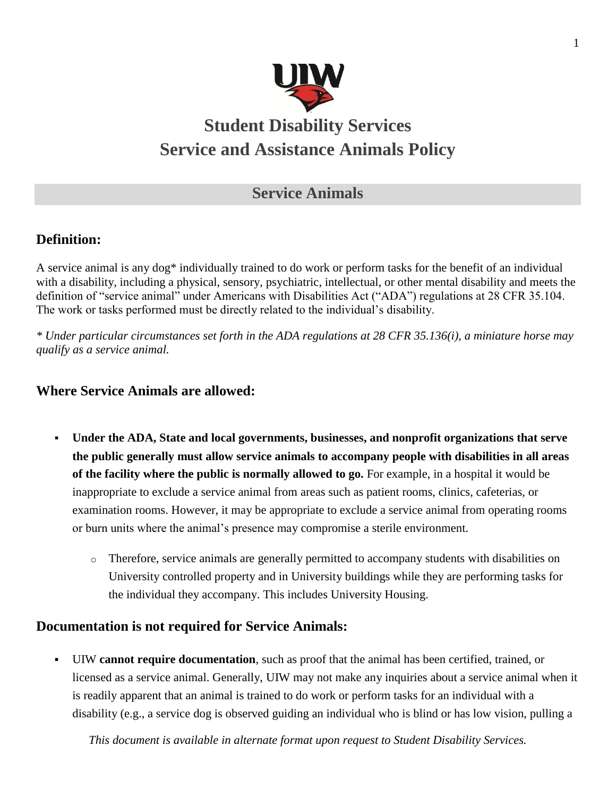

# **Student Disability Services Service and Assistance Animals Policy**

# **Service Animals**

# **Definition:**

A service animal is any dog\* individually trained to do work or perform tasks for the benefit of an individual with a disability, including a physical, sensory, psychiatric, intellectual, or other mental disability and meets the definition of "service animal" under Americans with Disabilities Act ("ADA") regulations at 28 CFR 35.104. The work or tasks performed must be directly related to the individual's disability.

*\* Under particular circumstances set forth in the ADA regulations at 28 CFR 35.136(i), a miniature horse may qualify as a service animal.*

#### **Where Service Animals are allowed:**

- **Under the ADA, State and local governments, businesses, and nonprofit organizations that serve the public generally must allow service animals to accompany people with disabilities in all areas of the facility where the public is normally allowed to go.** For example, in a hospital it would be inappropriate to exclude a service animal from areas such as patient rooms, clinics, cafeterias, or examination rooms. However, it may be appropriate to exclude a service animal from operating rooms or burn units where the animal's presence may compromise a sterile environment.
	- o Therefore, service animals are generally permitted to accompany students with disabilities on University controlled property and in University buildings while they are performing tasks for the individual they accompany. This includes University Housing.

#### **Documentation is not required for Service Animals:**

 UIW **cannot require documentation**, such as proof that the animal has been certified, trained, or licensed as a service animal. Generally, UIW may not make any inquiries about a service animal when it is readily apparent that an animal is trained to do work or perform tasks for an individual with a disability (e.g., a service dog is observed guiding an individual who is blind or has low vision, pulling a

*This document is available in alternate format upon request to Student Disability Services.*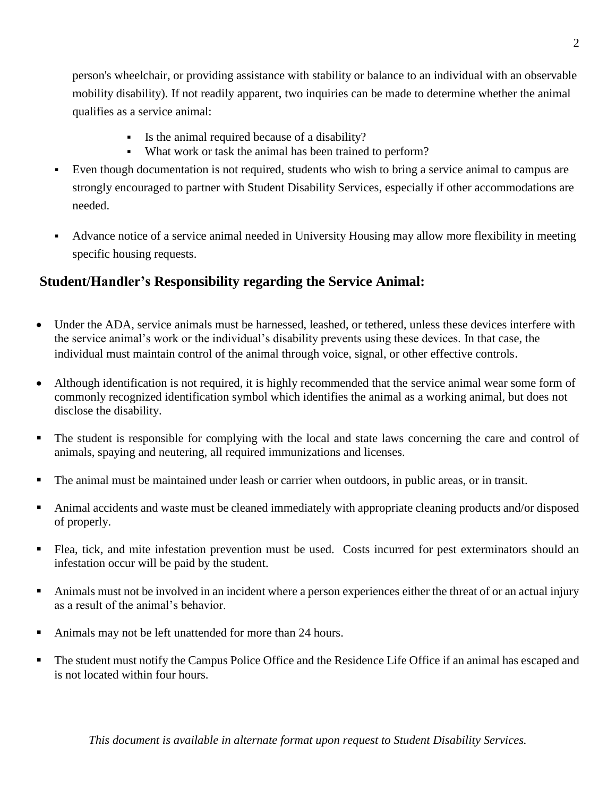person's wheelchair, or providing assistance with stability or balance to an individual with an observable mobility disability). If not readily apparent, two inquiries can be made to determine whether the animal qualifies as a service animal:

- Is the animal required because of a disability?
- What work or task the animal has been trained to perform?
- Even though documentation is not required, students who wish to bring a service animal to campus are strongly encouraged to partner with Student Disability Services, especially if other accommodations are needed.
- Advance notice of a service animal needed in University Housing may allow more flexibility in meeting specific housing requests.

## **Student/Handler's Responsibility regarding the Service Animal:**

- Under the ADA, service animals must be harnessed, leashed, or tethered, unless these devices interfere with the service animal's work or the individual's disability prevents using these devices. In that case, the individual must maintain control of the animal through voice, signal, or other effective controls.
- Although identification is not required, it is highly recommended that the service animal wear some form of commonly recognized identification symbol which identifies the animal as a working animal, but does not disclose the disability.
- The student is responsible for complying with the local and state laws concerning the care and control of animals, spaying and neutering, all required immunizations and licenses.
- The animal must be maintained under leash or carrier when outdoors, in public areas, or in transit.
- Animal accidents and waste must be cleaned immediately with appropriate cleaning products and/or disposed of properly.
- Flea, tick, and mite infestation prevention must be used. Costs incurred for pest exterminators should an infestation occur will be paid by the student.
- Animals must not be involved in an incident where a person experiences either the threat of or an actual injury as a result of the animal's behavior.
- Animals may not be left unattended for more than 24 hours.
- The student must notify the Campus Police Office and the Residence Life Office if an animal has escaped and is not located within four hours.

*This document is available in alternate format upon request to Student Disability Services.*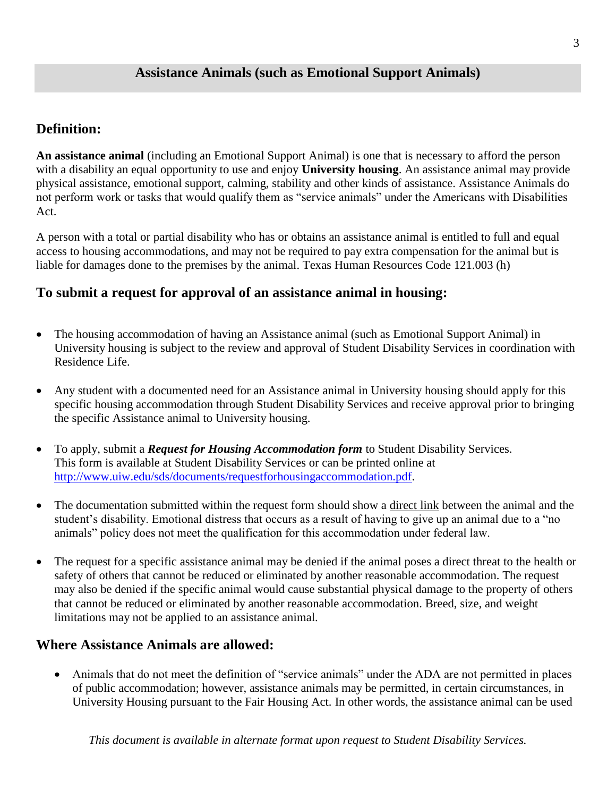#### **Assistance Animals (such as Emotional Support Animals)**

### **Definition:**

**An assistance animal** (including an Emotional Support Animal) is one that is necessary to afford the person with a disability an equal opportunity to use and enjoy **University housing**. An assistance animal may provide physical assistance, emotional support, calming, stability and other kinds of assistance. Assistance Animals do not perform work or tasks that would qualify them as "service animals" under the Americans with Disabilities Act.

A person with a total or partial disability who has or obtains an assistance animal is entitled to full and equal access to housing accommodations, and may not be required to pay extra compensation for the animal but is liable for damages done to the premises by the animal. Texas Human Resources Code 121.003 (h)

#### **To submit a request for approval of an assistance animal in housing:**

- The housing accommodation of having an Assistance animal (such as Emotional Support Animal) in University housing is subject to the review and approval of Student Disability Services in coordination with Residence Life.
- Any student with a documented need for an Assistance animal in University housing should apply for this specific housing accommodation through Student Disability Services and receive approval prior to bringing the specific Assistance animal to University housing.
- To apply, submit a *Request for Housing Accommodation form* to Student Disability Services. This form is available at Student Disability Services or can be printed online at [http://www.uiw.edu/sds/documents/requestforhousingaccommodation.pdf.](http://www.uiw.edu/sds/documents/requestforhousingaccommodation.pdf)
- The documentation submitted within the request form should show a direct link between the animal and the student's disability. Emotional distress that occurs as a result of having to give up an animal due to a "no animals" policy does not meet the qualification for this accommodation under federal law.
- The request for a specific assistance animal may be denied if the animal poses a direct threat to the health or safety of others that cannot be reduced or eliminated by another reasonable accommodation. The request may also be denied if the specific animal would cause substantial physical damage to the property of others that cannot be reduced or eliminated by another reasonable accommodation. Breed, size, and weight limitations may not be applied to an assistance animal.

#### **Where Assistance Animals are allowed:**

 Animals that do not meet the definition of "service animals" under the ADA are not permitted in places of public accommodation; however, assistance animals may be permitted, in certain circumstances, in University Housing pursuant to the Fair Housing Act. In other words, the assistance animal can be used